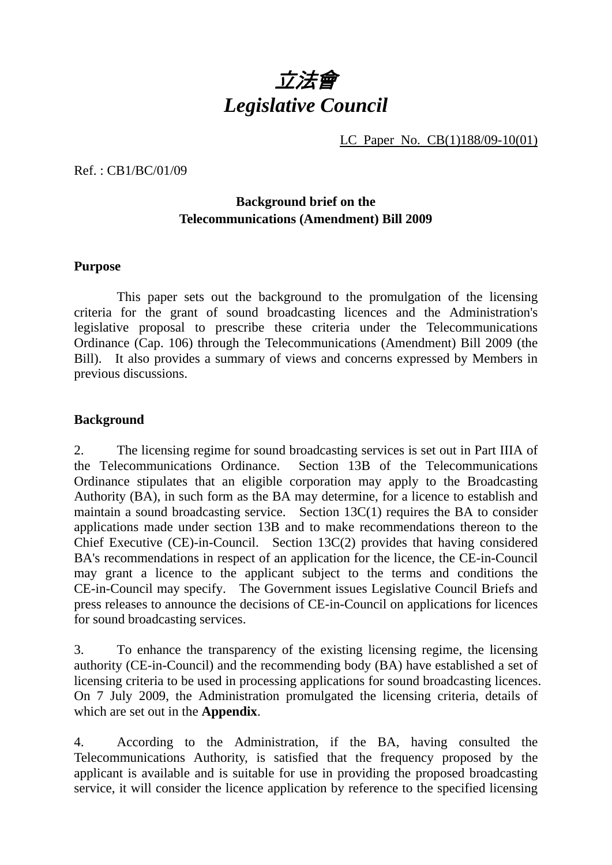

LC Paper No. CB(1)188/09-10(01)

Ref. : CB1/BC/01/09

## **Background brief on the Telecommunications (Amendment) Bill 2009**

#### **Purpose**

 This paper sets out the background to the promulgation of the licensing criteria for the grant of sound broadcasting licences and the Administration's legislative proposal to prescribe these criteria under the Telecommunications Ordinance (Cap. 106) through the Telecommunications (Amendment) Bill 2009 (the Bill). It also provides a summary of views and concerns expressed by Members in previous discussions.

#### **Background**

2. The licensing regime for sound broadcasting services is set out in Part IIIA of the Telecommunications Ordinance. Section 13B of the Telecommunications Ordinance stipulates that an eligible corporation may apply to the Broadcasting Authority (BA), in such form as the BA may determine, for a licence to establish and maintain a sound broadcasting service. Section 13C(1) requires the BA to consider applications made under section 13B and to make recommendations thereon to the Chief Executive (CE)-in-Council. Section 13C(2) provides that having considered BA's recommendations in respect of an application for the licence, the CE-in-Council may grant a licence to the applicant subject to the terms and conditions the CE-in-Council may specify. The Government issues Legislative Council Briefs and press releases to announce the decisions of CE-in-Council on applications for licences for sound broadcasting services.

3. To enhance the transparency of the existing licensing regime, the licensing authority (CE-in-Council) and the recommending body (BA) have established a set of licensing criteria to be used in processing applications for sound broadcasting licences. On 7 July 2009, the Administration promulgated the licensing criteria, details of which are set out in the **Appendix**.

4. According to the Administration, if the BA, having consulted the Telecommunications Authority, is satisfied that the frequency proposed by the applicant is available and is suitable for use in providing the proposed broadcasting service, it will consider the licence application by reference to the specified licensing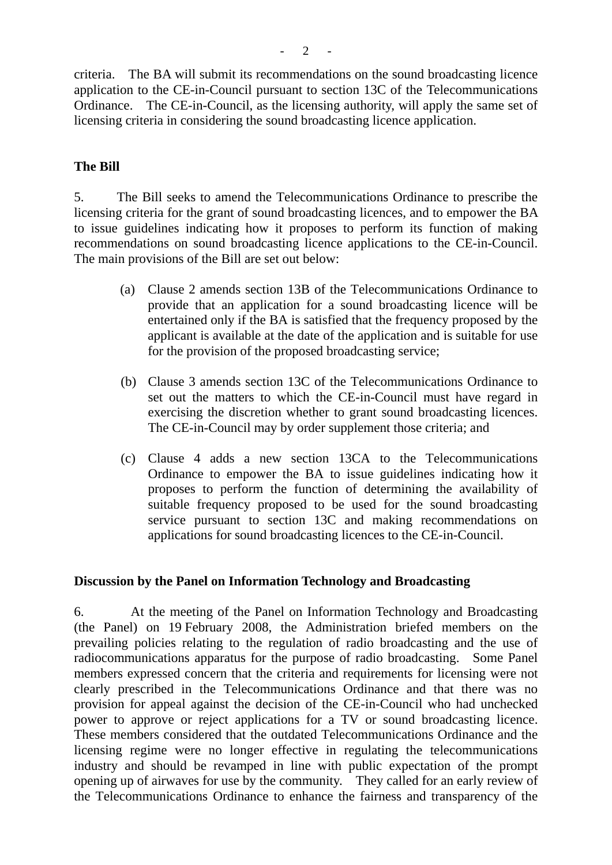criteria. The BA will submit its recommendations on the sound broadcasting licence application to the CE-in-Council pursuant to section 13C of the Telecommunications Ordinance. The CE-in-Council, as the licensing authority, will apply the same set of licensing criteria in considering the sound broadcasting licence application.

#### **The Bill**

5. The Bill seeks to amend the Telecommunications Ordinance to prescribe the licensing criteria for the grant of sound broadcasting licences, and to empower the BA to issue guidelines indicating how it proposes to perform its function of making recommendations on sound broadcasting licence applications to the CE-in-Council. The main provisions of the Bill are set out below:

- (a) Clause 2 amends section 13B of the Telecommunications Ordinance to provide that an application for a sound broadcasting licence will be entertained only if the BA is satisfied that the frequency proposed by the applicant is available at the date of the application and is suitable for use for the provision of the proposed broadcasting service;
- (b) Clause 3 amends section 13C of the Telecommunications Ordinance to set out the matters to which the CE-in-Council must have regard in exercising the discretion whether to grant sound broadcasting licences. The CE-in-Council may by order supplement those criteria; and
- (c) Clause 4 adds a new section 13CA to the Telecommunications Ordinance to empower the BA to issue guidelines indicating how it proposes to perform the function of determining the availability of suitable frequency proposed to be used for the sound broadcasting service pursuant to section 13C and making recommendations on applications for sound broadcasting licences to the CE-in-Council.

#### **Discussion by the Panel on Information Technology and Broadcasting**

6. At the meeting of the Panel on Information Technology and Broadcasting (the Panel) on 19 February 2008, the Administration briefed members on the prevailing policies relating to the regulation of radio broadcasting and the use of radiocommunications apparatus for the purpose of radio broadcasting. Some Panel members expressed concern that the criteria and requirements for licensing were not clearly prescribed in the Telecommunications Ordinance and that there was no provision for appeal against the decision of the CE-in-Council who had unchecked power to approve or reject applications for a TV or sound broadcasting licence. These members considered that the outdated Telecommunications Ordinance and the licensing regime were no longer effective in regulating the telecommunications industry and should be revamped in line with public expectation of the prompt opening up of airwaves for use by the community. They called for an early review of the Telecommunications Ordinance to enhance the fairness and transparency of the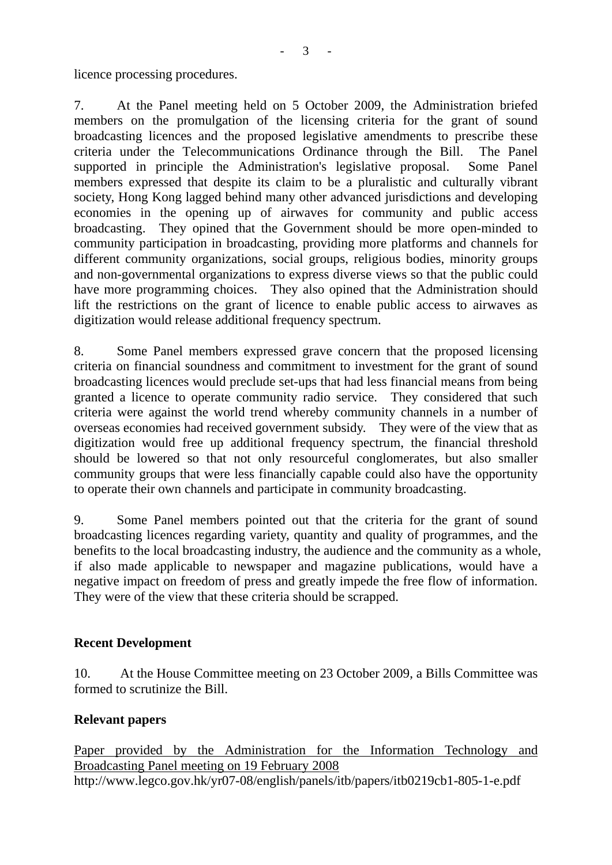licence processing procedures.

7. At the Panel meeting held on 5 October 2009, the Administration briefed members on the promulgation of the licensing criteria for the grant of sound broadcasting licences and the proposed legislative amendments to prescribe these criteria under the Telecommunications Ordinance through the Bill. The Panel supported in principle the Administration's legislative proposal. Some Panel members expressed that despite its claim to be a pluralistic and culturally vibrant society, Hong Kong lagged behind many other advanced jurisdictions and developing economies in the opening up of airwaves for community and public access broadcasting. They opined that the Government should be more open-minded to community participation in broadcasting, providing more platforms and channels for different community organizations, social groups, religious bodies, minority groups and non-governmental organizations to express diverse views so that the public could have more programming choices. They also opined that the Administration should lift the restrictions on the grant of licence to enable public access to airwaves as digitization would release additional frequency spectrum.

8. Some Panel members expressed grave concern that the proposed licensing criteria on financial soundness and commitment to investment for the grant of sound broadcasting licences would preclude set-ups that had less financial means from being granted a licence to operate community radio service. They considered that such criteria were against the world trend whereby community channels in a number of overseas economies had received government subsidy. They were of the view that as digitization would free up additional frequency spectrum, the financial threshold should be lowered so that not only resourceful conglomerates, but also smaller community groups that were less financially capable could also have the opportunity to operate their own channels and participate in community broadcasting.

9. Some Panel members pointed out that the criteria for the grant of sound broadcasting licences regarding variety, quantity and quality of programmes, and the benefits to the local broadcasting industry, the audience and the community as a whole, if also made applicable to newspaper and magazine publications, would have a negative impact on freedom of press and greatly impede the free flow of information. They were of the view that these criteria should be scrapped.

### **Recent Development**

10. At the House Committee meeting on 23 October 2009, a Bills Committee was formed to scrutinize the Bill.

### **Relevant papers**

Paper provided by the Administration for the Information Technology and Broadcasting Panel meeting on 19 February 2008 http://www.legco.gov.hk/yr07-08/english/panels/itb/papers/itb0219cb1-805-1-e.pdf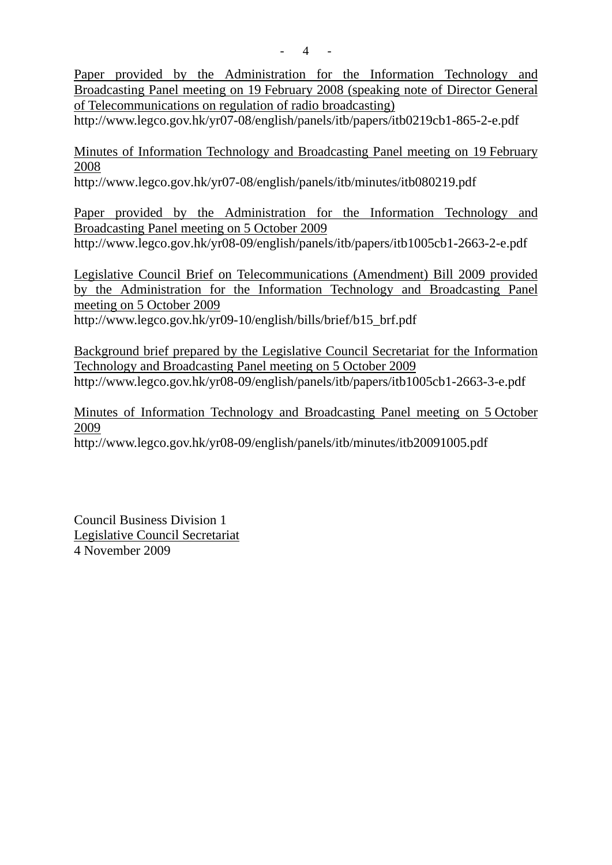Paper provided by the Administration for the Information Technology and Broadcasting Panel meeting on 19 February 2008 (speaking note of Director General of Telecommunications on regulation of radio broadcasting)

http://www.legco.gov.hk/yr07-08/english/panels/itb/papers/itb0219cb1-865-2-e.pdf

Minutes of Information Technology and Broadcasting Panel meeting on 19 February 2008

http://www.legco.gov.hk/yr07-08/english/panels/itb/minutes/itb080219.pdf

Paper provided by the Administration for the Information Technology and Broadcasting Panel meeting on 5 October 2009 http://www.legco.gov.hk/yr08-09/english/panels/itb/papers/itb1005cb1-2663-2-e.pdf

Legislative Council Brief on Telecommunications (Amendment) Bill 2009 provided by the Administration for the Information Technology and Broadcasting Panel meeting on 5 October 2009 http://www.legco.gov.hk/yr09-10/english/bills/brief/b15\_brf.pdf

Background brief prepared by the Legislative Council Secretariat for the Information Technology and Broadcasting Panel meeting on 5 October 2009 http://www.legco.gov.hk/yr08-09/english/panels/itb/papers/itb1005cb1-2663-3-e.pdf

Minutes of Information Technology and Broadcasting Panel meeting on 5 October 2009

http://www.legco.gov.hk/yr08-09/english/panels/itb/minutes/itb20091005.pdf

Council Business Division 1 Legislative Council Secretariat 4 November 2009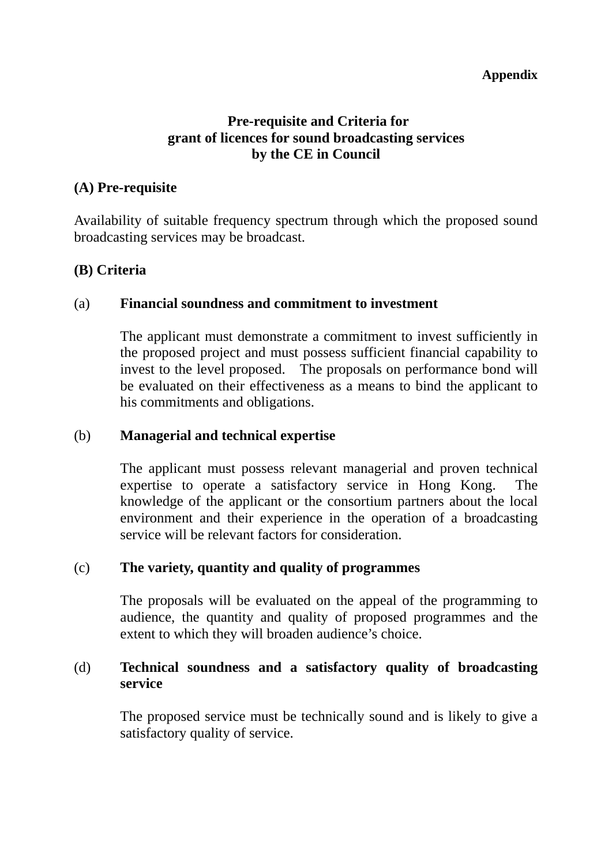### **Appendix**

# **Pre-requisite and Criteria for grant of licences for sound broadcasting services by the CE in Council**

## **(A) Pre-requisite**

Availability of suitable frequency spectrum through which the proposed sound broadcasting services may be broadcast.

# **(B) Criteria**

### (a) **Financial soundness and commitment to investment**

The applicant must demonstrate a commitment to invest sufficiently in the proposed project and must possess sufficient financial capability to invest to the level proposed. The proposals on performance bond will be evaluated on their effectiveness as a means to bind the applicant to his commitments and obligations.

### (b) **Managerial and technical expertise**

The applicant must possess relevant managerial and proven technical expertise to operate a satisfactory service in Hong Kong. The knowledge of the applicant or the consortium partners about the local environment and their experience in the operation of a broadcasting service will be relevant factors for consideration.

### (c) **The variety, quantity and quality of programmes**

The proposals will be evaluated on the appeal of the programming to audience, the quantity and quality of proposed programmes and the extent to which they will broaden audience's choice.

# (d) **Technical soundness and a satisfactory quality of broadcasting service**

The proposed service must be technically sound and is likely to give a satisfactory quality of service.